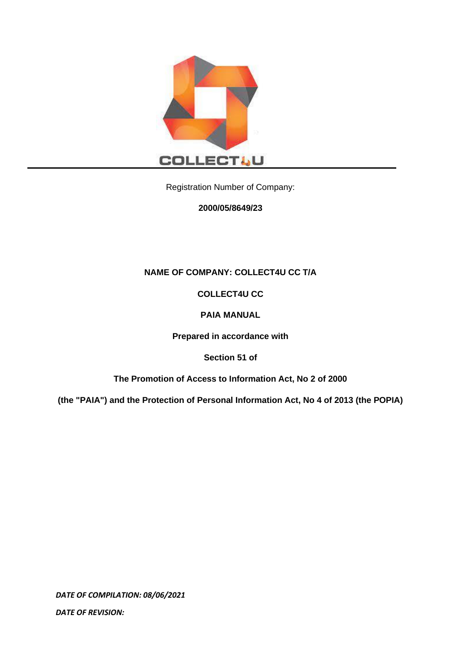

Registration Number of Company:

**2000/05/8649/23**

## **NAME OF COMPANY: COLLECT4U CC T/A**

## **COLLECT4U CC**

## **PAIA MANUAL**

**Prepared in accordance with**

**Section 51 of**

**The Promotion of Access to Information Act, No 2 of 2000** 

**(the "PAIA") and the Protection of Personal Information Act, No 4 of 2013 (the POPIA)**

*DATE OF COMPILATION: 08/06/2021*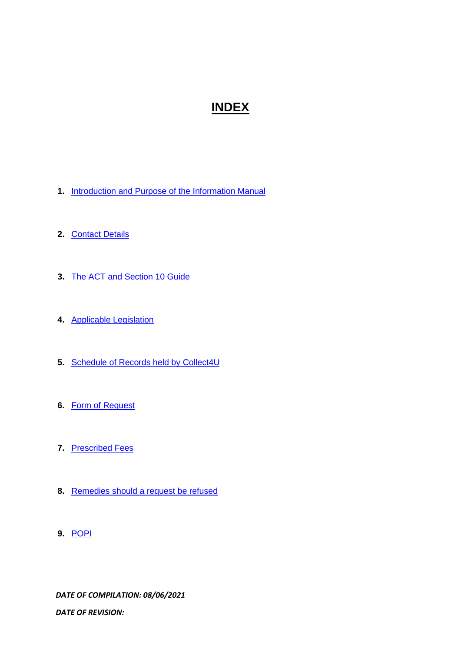# **INDEX**

- **1.** [Introduction and Purpose of the Information Manual](#page-2-0)
- **2.** [Contact Details](#page-3-0)
- **3.** The ACT [and Section 10 Guide](#page-3-1)
- **4.** [Applicable Legislation](#page-3-2)
- **5.** [Schedule of Records](#page-5-0) held by Collect4U
- **6.** [Form of Request](#page-6-0)
- **7.** [Prescribed Fees](#page-6-0)
- **8.** [Remedies should a request be refused](#page-6-0)
- **9.** [POPI](#page-6-0)

*DATE OF COMPILATION: 08/06/2021*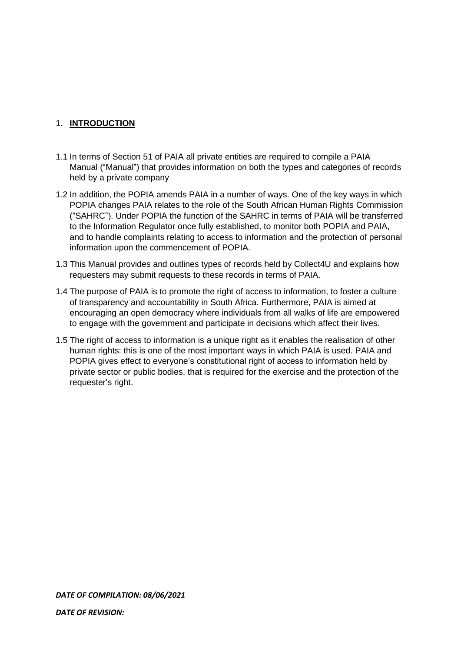#### <span id="page-2-0"></span>1. **INTRODUCTION**

- 1.1 In terms of Section 51 of PAIA all private entities are required to compile a PAIA Manual ("Manual") that provides information on both the types and categories of records held by a private company
- 1.2 In addition, the POPIA amends PAIA in a number of ways. One of the key ways in which POPIA changes PAIA relates to the role of the South African Human Rights Commission ("SAHRC"). Under POPIA the function of the SAHRC in terms of PAIA will be transferred to the Information Regulator once fully established, to monitor both POPIA and PAIA, and to handle complaints relating to access to information and the protection of personal information upon the commencement of POPIA.
- 1.3 This Manual provides and outlines types of records held by Collect4U and explains how requesters may submit requests to these records in terms of PAIA.
- 1.4 The purpose of PAIA is to promote the right of access to information, to foster a culture of transparency and accountability in South Africa. Furthermore, PAIA is aimed at encouraging an open democracy where individuals from all walks of life are empowered to engage with the government and participate in decisions which affect their lives.
- 1.5 The right of access to information is a unique right as it enables the realisation of other human rights: this is one of the most important ways in which PAIA is used. PAIA and POPIA gives effect to everyone's constitutional right of access to information held by private sector or public bodies, that is required for the exercise and the protection of the requester's right.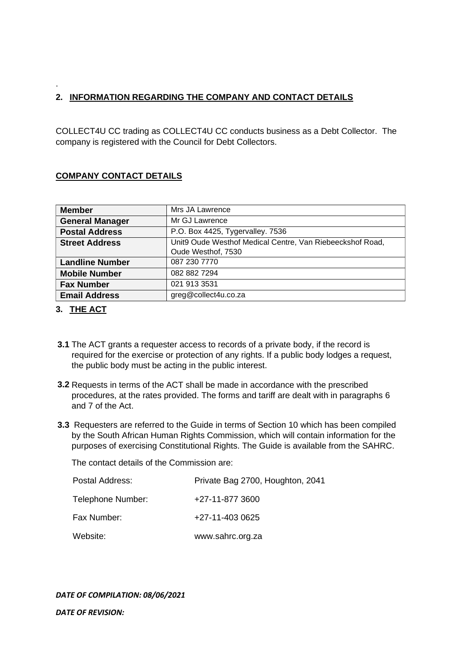## <span id="page-3-0"></span>**2. INFORMATION REGARDING THE COMPANY AND CONTACT DETAILS**

COLLECT4U CC trading as COLLECT4U CC conducts business as a Debt Collector. The company is registered with the Council for Debt Collectors.

## **COMPANY CONTACT DETAILS**

| <b>Member</b>          | Mrs JA Lawrence                                                                 |
|------------------------|---------------------------------------------------------------------------------|
| <b>General Manager</b> | Mr GJ Lawrence                                                                  |
| <b>Postal Address</b>  | P.O. Box 4425, Tygervalley. 7536                                                |
| <b>Street Address</b>  | Unit9 Oude Westhof Medical Centre, Van Riebeeckshof Road,<br>Oude Westhof, 7530 |
| <b>Landline Number</b> | 087 230 7770                                                                    |
| <b>Mobile Number</b>   | 082 882 7294                                                                    |
| <b>Fax Number</b>      | 021 913 3531                                                                    |
| <b>Email Address</b>   | greg@collect4u.co.za                                                            |

#### <span id="page-3-1"></span>**3. THE ACT**

.

- **3.1** The ACT grants a requester access to records of a private body, if the record is required for the exercise or protection of any rights. If a public body lodges a request, the public body must be acting in the public interest.
- **3.2** Requests in terms of the ACT shall be made in accordance with the prescribed procedures, at the rates provided. The forms and tariff are dealt with in paragraphs 6 and 7 of the Act.
- **3.3** Requesters are referred to the Guide in terms of Section 10 which has been compiled by the South African Human Rights Commission, which will contain information for the purposes of exercising Constitutional Rights. The Guide is available from the SAHRC.

The contact details of the Commission are:

<span id="page-3-2"></span>

| Postal Address:   | Private Bag 2700, Houghton, 2041 |
|-------------------|----------------------------------|
| Telephone Number: | +27-11-877 3600                  |
| Fax Number:       | +27-11-403 0625                  |
| Website:          | www.sahrc.org.za                 |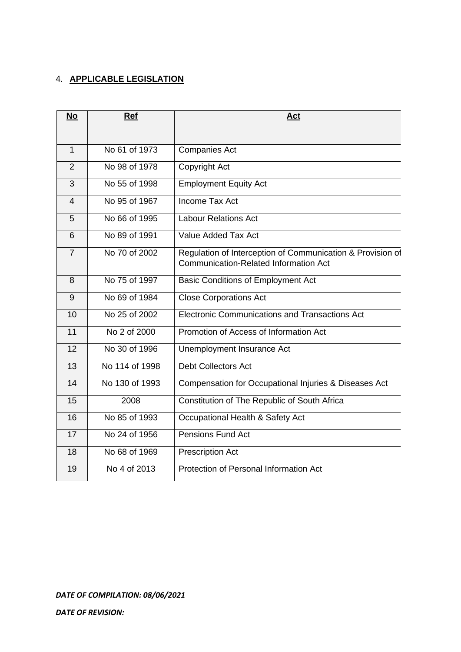## 4. **APPLICABLE LEGISLATION**

| No             | Ref            | Act                                                                                                        |
|----------------|----------------|------------------------------------------------------------------------------------------------------------|
|                |                |                                                                                                            |
| $\mathbf{1}$   | No 61 of 1973  | <b>Companies Act</b>                                                                                       |
| $\overline{2}$ | No 98 of 1978  | Copyright Act                                                                                              |
| 3              | No 55 of 1998  | <b>Employment Equity Act</b>                                                                               |
| $\overline{4}$ | No 95 of 1967  | <b>Income Tax Act</b>                                                                                      |
| 5              | No 66 of 1995  | <b>Labour Relations Act</b>                                                                                |
| 6              | No 89 of 1991  | Value Added Tax Act                                                                                        |
| $\overline{7}$ | No 70 of 2002  | Regulation of Interception of Communication & Provision of<br><b>Communication-Related Information Act</b> |
| 8              | No 75 of 1997  | <b>Basic Conditions of Employment Act</b>                                                                  |
| 9              | No 69 of 1984  | <b>Close Corporations Act</b>                                                                              |
| 10             | No 25 of 2002  | Electronic Communications and Transactions Act                                                             |
| 11             | No 2 of 2000   | Promotion of Access of Information Act                                                                     |
| 12             | No 30 of 1996  | Unemployment Insurance Act                                                                                 |
| 13             | No 114 of 1998 | <b>Debt Collectors Act</b>                                                                                 |
| 14             | No 130 of 1993 | Compensation for Occupational Injuries & Diseases Act                                                      |
| 15             | 2008           | Constitution of The Republic of South Africa                                                               |
| 16             | No 85 of 1993  | Occupational Health & Safety Act                                                                           |
| 17             | No 24 of 1956  | <b>Pensions Fund Act</b>                                                                                   |
| 18             | No 68 of 1969  | <b>Prescription Act</b>                                                                                    |
| 19             | No 4 of 2013   | Protection of Personal Information Act                                                                     |

*DATE OF COMPILATION: 08/06/2021*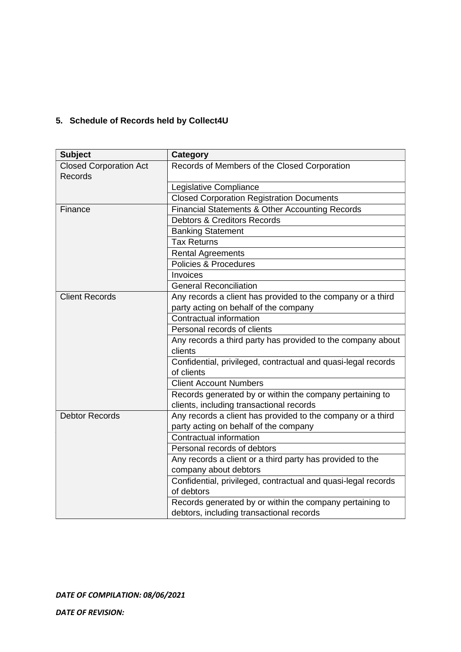## <span id="page-5-0"></span>**5. Schedule of Records held by Collect4U**

| <b>Subject</b>                | <b>Category</b>                                               |
|-------------------------------|---------------------------------------------------------------|
| <b>Closed Corporation Act</b> | Records of Members of the Closed Corporation                  |
| Records                       |                                                               |
|                               | Legislative Compliance                                        |
|                               | <b>Closed Corporation Registration Documents</b>              |
| Finance                       | Financial Statements & Other Accounting Records               |
|                               | <b>Debtors &amp; Creditors Records</b>                        |
|                               | <b>Banking Statement</b>                                      |
|                               | <b>Tax Returns</b>                                            |
|                               | <b>Rental Agreements</b>                                      |
|                               | Policies & Procedures                                         |
|                               | Invoices                                                      |
|                               | <b>General Reconciliation</b>                                 |
| <b>Client Records</b>         | Any records a client has provided to the company or a third   |
|                               | party acting on behalf of the company                         |
|                               | Contractual information                                       |
|                               | Personal records of clients                                   |
|                               | Any records a third party has provided to the company about   |
|                               | clients                                                       |
|                               | Confidential, privileged, contractual and quasi-legal records |
|                               | of clients                                                    |
|                               | <b>Client Account Numbers</b>                                 |
|                               | Records generated by or within the company pertaining to      |
|                               | clients, including transactional records                      |
| <b>Debtor Records</b>         | Any records a client has provided to the company or a third   |
|                               | party acting on behalf of the company                         |
|                               | Contractual information                                       |
|                               | Personal records of debtors                                   |
|                               | Any records a client or a third party has provided to the     |
|                               | company about debtors                                         |
|                               | Confidential, privileged, contractual and quasi-legal records |
|                               | of debtors                                                    |
|                               | Records generated by or within the company pertaining to      |
|                               | debtors, including transactional records                      |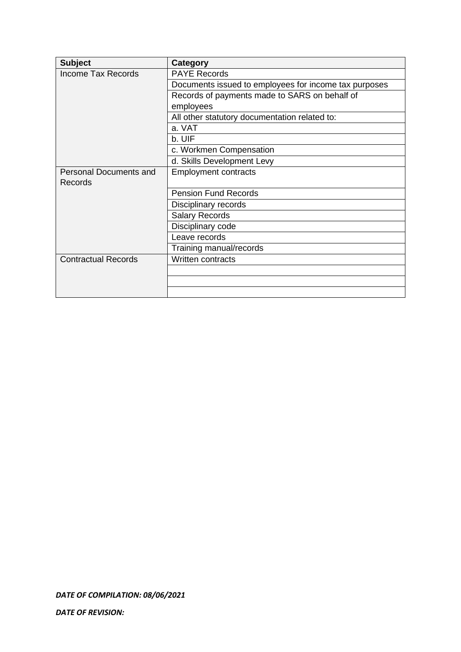<span id="page-6-0"></span>

| <b>Subject</b>                | Category                                              |
|-------------------------------|-------------------------------------------------------|
| <b>Income Tax Records</b>     | <b>PAYE Records</b>                                   |
|                               | Documents issued to employees for income tax purposes |
|                               | Records of payments made to SARS on behalf of         |
|                               | employees                                             |
|                               | All other statutory documentation related to:         |
|                               | a. VAT                                                |
|                               | b. UIF                                                |
|                               | c. Workmen Compensation                               |
|                               | d. Skills Development Levy                            |
| <b>Personal Documents and</b> | <b>Employment contracts</b>                           |
| Records                       |                                                       |
|                               | <b>Pension Fund Records</b>                           |
|                               | Disciplinary records                                  |
|                               | <b>Salary Records</b>                                 |
|                               | Disciplinary code                                     |
|                               | Leave records                                         |
|                               | Training manual/records                               |
| <b>Contractual Records</b>    | <b>Written contracts</b>                              |
|                               |                                                       |
|                               |                                                       |
|                               |                                                       |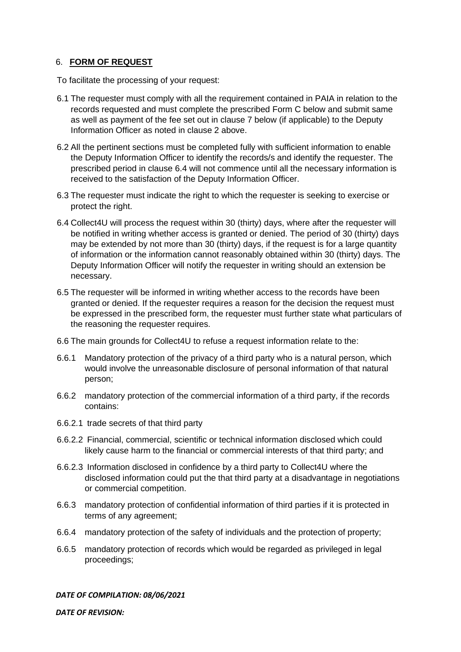#### 6. **FORM OF REQUEST**

To facilitate the processing of your request:

- 6.1 The requester must comply with all the requirement contained in PAIA in relation to the records requested and must complete the prescribed Form C below and submit same as well as payment of the fee set out in clause 7 below (if applicable) to the Deputy Information Officer as noted in clause 2 above.
- 6.2 All the pertinent sections must be completed fully with sufficient information to enable the Deputy Information Officer to identify the records/s and identify the requester. The prescribed period in clause 6.4 will not commence until all the necessary information is received to the satisfaction of the Deputy Information Officer.
- 6.3 The requester must indicate the right to which the requester is seeking to exercise or protect the right.
- 6.4 Collect4U will process the request within 30 (thirty) days, where after the requester will be notified in writing whether access is granted or denied. The period of 30 (thirty) days may be extended by not more than 30 (thirty) days, if the request is for a large quantity of information or the information cannot reasonably obtained within 30 (thirty) days. The Deputy Information Officer will notify the requester in writing should an extension be necessary.
- 6.5 The requester will be informed in writing whether access to the records have been granted or denied. If the requester requires a reason for the decision the request must be expressed in the prescribed form, the requester must further state what particulars of the reasoning the requester requires.
- 6.6 The main grounds for Collect4U to refuse a request information relate to the:
- 6.6.1 Mandatory protection of the privacy of a third party who is a natural person, which would involve the unreasonable disclosure of personal information of that natural person;
- 6.6.2 mandatory protection of the commercial information of a third party, if the records contains:
- 6.6.2.1 trade secrets of that third party
- 6.6.2.2 Financial, commercial, scientific or technical information disclosed which could likely cause harm to the financial or commercial interests of that third party; and
- 6.6.2.3 Information disclosed in confidence by a third party to Collect4U where the disclosed information could put the that third party at a disadvantage in negotiations or commercial competition.
- 6.6.3 mandatory protection of confidential information of third parties if it is protected in terms of any agreement;
- 6.6.4 mandatory protection of the safety of individuals and the protection of property;
- 6.6.5 mandatory protection of records which would be regarded as privileged in legal proceedings;

*DATE OF COMPILATION: 08/06/2021*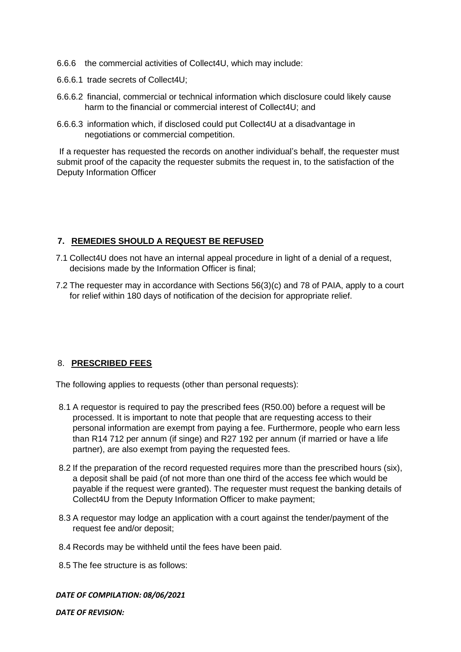- 6.6.6 the commercial activities of Collect4U, which may include:
- 6.6.6.1 trade secrets of Collect4U;
- 6.6.6.2 financial, commercial or technical information which disclosure could likely cause harm to the financial or commercial interest of Collect4U; and
- 6.6.6.3 information which, if disclosed could put Collect4U at a disadvantage in negotiations or commercial competition.

If a requester has requested the records on another individual's behalf, the requester must submit proof of the capacity the requester submits the request in, to the satisfaction of the Deputy Information Officer

## **7. REMEDIES SHOULD A REQUEST BE REFUSED**

- 7.1 Collect4U does not have an internal appeal procedure in light of a denial of a request, decisions made by the Information Officer is final;
- 7.2 The requester may in accordance with Sections 56(3)(c) and 78 of PAIA, apply to a court for relief within 180 days of notification of the decision for appropriate relief.

#### 8. **PRESCRIBED FEES**

The following applies to requests (other than personal requests):

- 8.1 A requestor is required to pay the prescribed fees (R50.00) before a request will be processed. It is important to note that people that are requesting access to their personal information are exempt from paying a fee. Furthermore, people who earn less than R14 712 per annum (if singe) and R27 192 per annum (if married or have a life partner), are also exempt from paying the requested fees.
- 8.2 If the preparation of the record requested requires more than the prescribed hours (six), a deposit shall be paid (of not more than one third of the access fee which would be payable if the request were granted). The requester must request the banking details of Collect4U from the Deputy Information Officer to make payment;
- 8.3 A requestor may lodge an application with a court against the tender/payment of the request fee and/or deposit;
- 8.4 Records may be withheld until the fees have been paid.
- 8.5 The fee structure is as follows:

#### *DATE OF COMPILATION: 08/06/2021*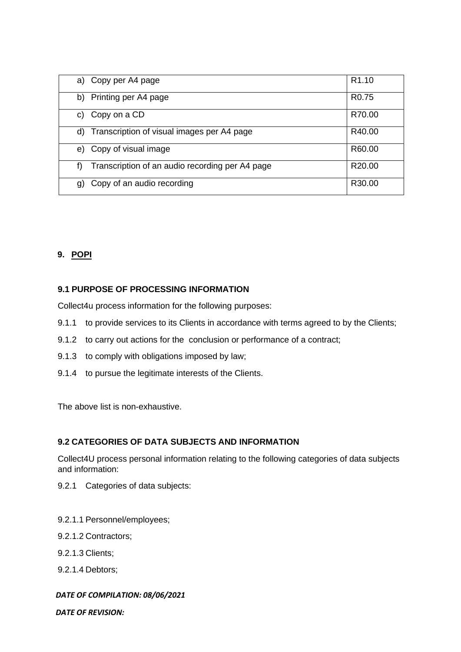| a) Copy per A4 page                                   | R <sub>1.10</sub>  |
|-------------------------------------------------------|--------------------|
| b) Printing per A4 page                               | R <sub>0.75</sub>  |
| Copy on a CD<br>C)                                    | R70.00             |
| Transcription of visual images per A4 page<br>d)      | R40.00             |
| Copy of visual image<br>e)                            | R60.00             |
| Transcription of an audio recording per A4 page<br>f) | R <sub>20.00</sub> |
| Copy of an audio recording<br>g)                      | R30.00             |

#### **9. POPI**

#### **9.1 PURPOSE OF PROCESSING INFORMATION**

Collect4u process information for the following purposes:

- 9.1.1 to provide services to its Clients in accordance with terms agreed to by the Clients;
- 9.1.2 to carry out actions for the conclusion or performance of a contract;
- 9.1.3 to comply with obligations imposed by law;
- 9.1.4 to pursue the legitimate interests of the Clients.

The above list is non-exhaustive.

#### **9.2 CATEGORIES OF DATA SUBJECTS AND INFORMATION**

Collect4U process personal information relating to the following categories of data subjects and information:

- 9.2.1 Categories of data subjects:
- 9.2.1.1 Personnel/employees;
- 9.2.1.2 Contractors;
- 9.2.1.3 Clients;
- 9.2.1.4 Debtors;

#### *DATE OF COMPILATION: 08/06/2021*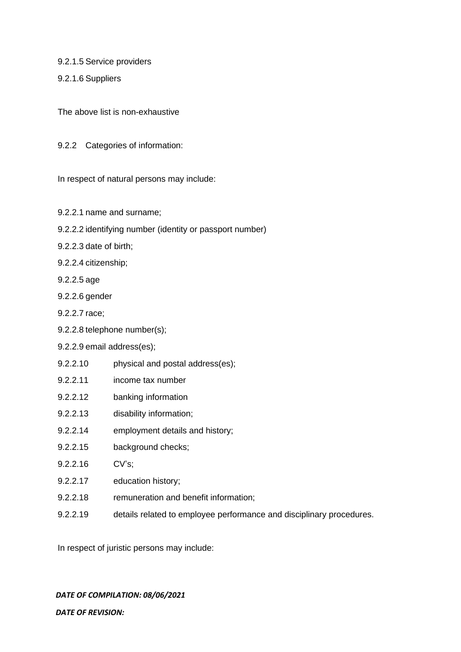9.2.1.5 Service providers

9.2.1.6 Suppliers

The above list is non-exhaustive

9.2.2 Categories of information:

In respect of natural persons may include:

- 9.2.2.1 name and surname;
- 9.2.2.2 identifying number (identity or passport number)
- 9.2.2.3 date of birth;
- 9.2.2.4 citizenship;
- 9.2.2.5 age
- 9.2.2.6 gender
- 9.2.2.7 race;
- 9.2.2.8 telephone number(s);
- 9.2.2.9 email address(es);
- 9.2.2.10 physical and postal address(es);
- 9.2.2.11 income tax number
- 9.2.2.12 banking information
- 9.2.2.13 disability information;
- 9.2.2.14 employment details and history;
- 9.2.2.15 background checks;
- 9.2.2.16 CV's;
- 9.2.2.17 education history;
- 9.2.2.18 remuneration and benefit information;
- 9.2.2.19 details related to employee performance and disciplinary procedures.

In respect of juristic persons may include:

*DATE OF COMPILATION: 08/06/2021*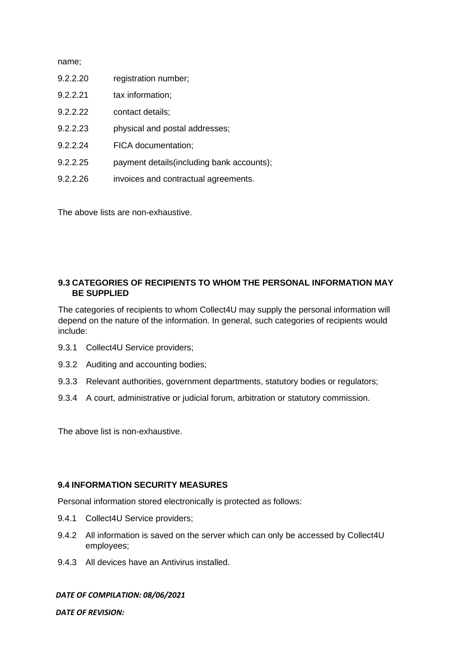| 9.2.2.20 | registration number; |
|----------|----------------------|
|          |                      |

- 9.2.2.21 tax information;
- 9.2.2.22 contact details;
- 9.2.2.23 physical and postal addresses;
- 9.2.2.24 FICA documentation;
- 9.2.2.25 payment details(including bank accounts);
- 9.2.2.26 invoices and contractual agreements.

The above lists are non-exhaustive.

## **9.3 CATEGORIES OF RECIPIENTS TO WHOM THE PERSONAL INFORMATION MAY BE SUPPLIED**

The categories of recipients to whom Collect4U may supply the personal information will depend on the nature of the information. In general, such categories of recipients would include:

- 9.3.1 Collect4U Service providers;
- 9.3.2 Auditing and accounting bodies;
- 9.3.3 Relevant authorities, government departments, statutory bodies or regulators;
- 9.3.4 A court, administrative or judicial forum, arbitration or statutory commission.

The above list is non-exhaustive.

#### **9.4 INFORMATION SECURITY MEASURES**

Personal information stored electronically is protected as follows:

- 9.4.1 Collect4U Service providers;
- 9.4.2 All information is saved on the server which can only be accessed by Collect4U employees;
- 9.4.3 All devices have an Antivirus installed.

#### *DATE OF COMPILATION: 08/06/2021*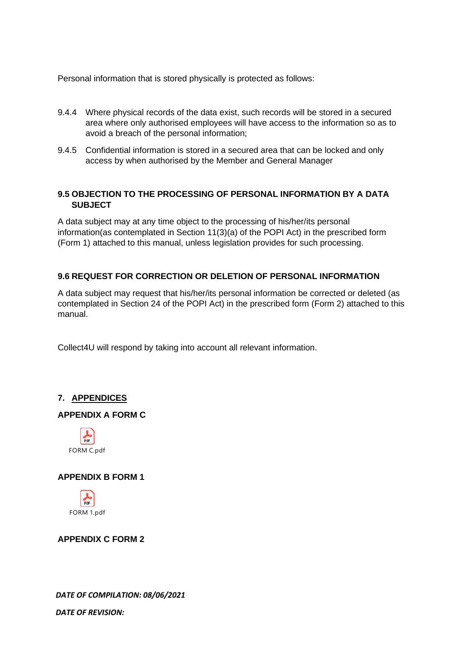Personal information that is stored physically is protected as follows:

- 9.4.4 Where physical records of the data exist, such records will be stored in a secured area where only authorised employees will have access to the information so as to avoid a breach of the personal information;
- 9.4.5 Confidential information is stored in a secured area that can be locked and only access by when authorised by the Member and General Manager

### **9.5 OBJECTION TO THE PROCESSING OF PERSONAL INFORMATION BY A DATA SUBJECT**

A data subject may at any time object to the processing of his/her/its personal information(as contemplated in Section 11(3)(a) of the POPI Act) in the prescribed form (Form 1) attached to this manual, unless legislation provides for such processing.

## **9.6 REQUEST FOR CORRECTION OR DELETION OF PERSONAL INFORMATION**

A data subject may request that his/her/its personal information be corrected or deleted (as contemplated in Section 24 of the POPI Act) in the prescribed form (Form 2) attached to this manual.

Collect4U will respond by taking into account all relevant information.

## **7. APPENDICES**

#### **APPENDIX A FORM C**



#### **APPENDIX B FORM 1**



#### **APPENDIX C FORM 2**

*DATE OF COMPILATION: 08/06/2021*